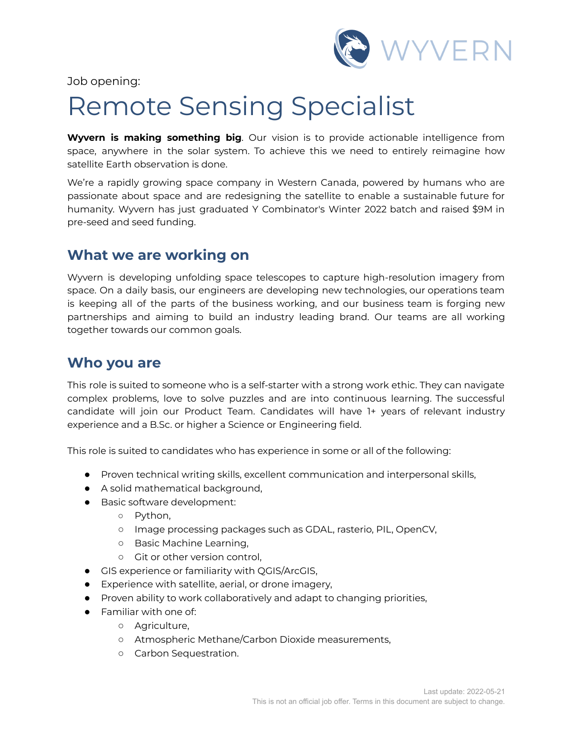

Job opening:

# Remote Sensing Specialist

**Wyvern is making something big**. Our vision is to provide actionable intelligence from space, anywhere in the solar system. To achieve this we need to entirely reimagine how satellite Earth observation is done.

We're a rapidly growing space company in Western Canada, powered by humans who are passionate about space and are redesigning the satellite to enable a sustainable future for humanity. Wyvern has just graduated Y Combinator's Winter 2022 batch and raised \$9M in pre-seed and seed funding.

#### **What we are working on**

Wyvern is developing unfolding space telescopes to capture high-resolution imagery from space. On a daily basis, our engineers are developing new technologies, our operations team is keeping all of the parts of the business working, and our business team is forging new partnerships and aiming to build an industry leading brand. Our teams are all working together towards our common goals.

#### **Who you are**

This role is suited to someone who is a self-starter with a strong work ethic. They can navigate complex problems, love to solve puzzles and are into continuous learning. The successful candidate will join our Product Team. Candidates will have 1+ years of relevant industry experience and a B.Sc. or higher a Science or Engineering field.

This role is suited to candidates who has experience in some or all of the following:

- Proven technical writing skills, excellent communication and interpersonal skills,
- A solid mathematical background,
- Basic software development:
	- Python,
	- Image processing packages such as GDAL, rasterio, PIL, OpenCV,
	- Basic Machine Learning,
	- Git or other version control,
- GIS experience or familiarity with QGIS/ArcGIS,
- Experience with satellite, aerial, or drone imagery,
- Proven ability to work collaboratively and adapt to changing priorities,
- Familiar with one of:
	- Agriculture,
	- Atmospheric Methane/Carbon Dioxide measurements,
	- Carbon Sequestration.